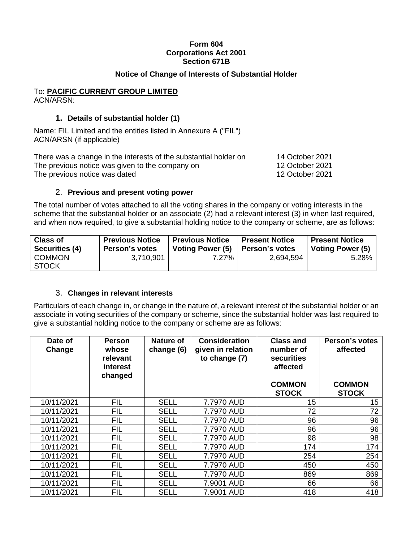### **Form 604 Corporations Act 2001 Section 671B**

## **Notice of Change of Interests of Substantial Holder**

#### To: **PACIFIC CURRENT GROUP LIMITED** ACN/ARSN:

# **1. Details of substantial holder (1)**

Name: FIL Limited and the entities listed in Annexure A ("FIL") ACN/ARSN (if applicable)

There was a change in the interests of the substantial holder on 14 October 2021 The previous notice was given to the company on 12 October 2021 The previous notice was dated 12 October 2021

2. **Previous and present voting power**

The total number of votes attached to all the voting shares in the company or voting interests in the scheme that the substantial holder or an associate (2) had a relevant interest (3) in when last required, and when now required, to give a substantial holding notice to the company or scheme, are as follows:

| <b>Class of</b>               | <b>Previous Notice</b> | <b>Previous Notice</b>  | <b>Present Notice</b> | <b>Present Notice</b> |
|-------------------------------|------------------------|-------------------------|-----------------------|-----------------------|
| Securities (4)                | Person's votes         | <b>Voting Power (5)</b> | l Person's votes      | Voting Power (5)      |
| <b>COMMON</b><br><b>STOCK</b> | 3,710,901              | 7.27%                   | 2,694,594             | 5.28%                 |

## 3. **Changes in relevant interests**

Particulars of each change in, or change in the nature of, a relevant interest of the substantial holder or an associate in voting securities of the company or scheme, since the substantial holder was last required to give a substantial holding notice to the company or scheme are as follows:

| Date of<br>Change | <b>Person</b><br>whose<br>relevant<br>interest<br>changed | <b>Nature of</b><br>change (6) | <b>Consideration</b><br>given in relation<br>to change (7) | <b>Class and</b><br>number of<br>securities<br>affected | Person's votes<br>affected    |
|-------------------|-----------------------------------------------------------|--------------------------------|------------------------------------------------------------|---------------------------------------------------------|-------------------------------|
|                   |                                                           |                                |                                                            | <b>COMMON</b><br><b>STOCK</b>                           | <b>COMMON</b><br><b>STOCK</b> |
| 10/11/2021        | <b>FIL</b>                                                | <b>SELL</b>                    | 7.7970 AUD                                                 | 15                                                      | 15                            |
| 10/11/2021        | <b>FIL</b>                                                | <b>SELL</b>                    | 7.7970 AUD                                                 | 72                                                      | 72                            |
| 10/11/2021        | <b>FIL</b>                                                | <b>SELL</b>                    | 7.7970 AUD                                                 | 96                                                      | 96                            |
| 10/11/2021        | <b>FIL</b>                                                | <b>SELL</b>                    | 7.7970 AUD                                                 | 96                                                      | 96                            |
| 10/11/2021        | <b>FIL</b>                                                | <b>SELL</b>                    | 7.7970 AUD                                                 | 98                                                      | 98                            |
| 10/11/2021        | <b>FIL</b>                                                | <b>SELL</b>                    | 7.7970 AUD                                                 | 174                                                     | 174                           |
| 10/11/2021        | <b>FIL</b>                                                | <b>SELL</b>                    | 7.7970 AUD                                                 | 254                                                     | 254                           |
| 10/11/2021        | <b>FIL</b>                                                | <b>SELL</b>                    | 7.7970 AUD                                                 | 450                                                     | 450                           |
| 10/11/2021        | <b>FIL</b>                                                | <b>SELL</b>                    | 7.7970 AUD                                                 | 869                                                     | 869                           |
| 10/11/2021        | <b>FIL</b>                                                | <b>SELL</b>                    | 7.9001 AUD                                                 | 66                                                      | 66                            |
| 10/11/2021        | <b>FIL</b>                                                | <b>SELL</b>                    | 7.9001 AUD                                                 | 418                                                     | 418                           |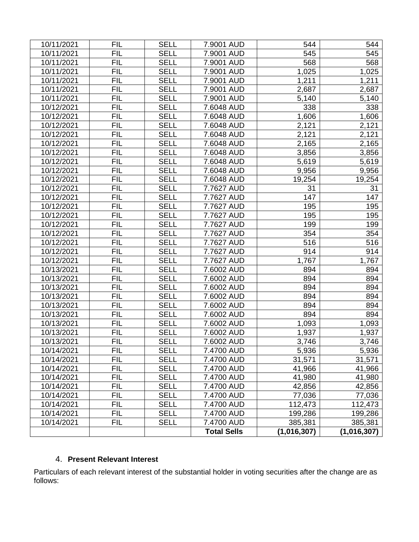| 10/11/2021 | <b>FIL</b> | <b>SELL</b> | 7.9001 AUD         | 544         | 544         |
|------------|------------|-------------|--------------------|-------------|-------------|
| 10/11/2021 | <b>FIL</b> | <b>SELL</b> | 7.9001 AUD         | 545         | 545         |
| 10/11/2021 | <b>FIL</b> | <b>SELL</b> | 7.9001 AUD         | 568         | 568         |
| 10/11/2021 | <b>FIL</b> | <b>SELL</b> | 7.9001 AUD         | 1,025       | 1,025       |
| 10/11/2021 | <b>FIL</b> | <b>SELL</b> | 7.9001 AUD         | 1,211       | 1,211       |
| 10/11/2021 | <b>FIL</b> | <b>SELL</b> | 7.9001 AUD         | 2,687       | 2,687       |
| 10/11/2021 | <b>FIL</b> | <b>SELL</b> | 7.9001 AUD         | 5,140       | 5,140       |
| 10/12/2021 | <b>FIL</b> | <b>SELL</b> | 7.6048 AUD         | 338         | 338         |
| 10/12/2021 | <b>FIL</b> | <b>SELL</b> | 7.6048 AUD         | 1,606       | 1,606       |
| 10/12/2021 | <b>FIL</b> | <b>SELL</b> | 7.6048 AUD         | 2,121       | 2,121       |
| 10/12/2021 | <b>FIL</b> | <b>SELL</b> | 7.6048 AUD         | 2,121       | 2,121       |
| 10/12/2021 | <b>FIL</b> | <b>SELL</b> | 7.6048 AUD         | 2,165       | 2,165       |
| 10/12/2021 | <b>FIL</b> | <b>SELL</b> | 7.6048 AUD         | 3,856       | 3,856       |
| 10/12/2021 | <b>FIL</b> | <b>SELL</b> | 7.6048 AUD         | 5,619       | 5,619       |
| 10/12/2021 | <b>FIL</b> | <b>SELL</b> | 7.6048 AUD         | 9,956       | 9,956       |
| 10/12/2021 | <b>FIL</b> | <b>SELL</b> | 7.6048 AUD         | 19,254      | 19,254      |
| 10/12/2021 | <b>FIL</b> | <b>SELL</b> | 7.7627 AUD         | 31          | 31          |
| 10/12/2021 | <b>FIL</b> | <b>SELL</b> | 7.7627 AUD         | 147         | 147         |
| 10/12/2021 | <b>FIL</b> | <b>SELL</b> | 7.7627 AUD         | 195         | 195         |
| 10/12/2021 | <b>FIL</b> | <b>SELL</b> | 7.7627 AUD         | 195         | 195         |
| 10/12/2021 | <b>FIL</b> | <b>SELL</b> | 7.7627 AUD         | 199         | 199         |
| 10/12/2021 | <b>FIL</b> | <b>SELL</b> | 7.7627 AUD         | 354         | 354         |
| 10/12/2021 | <b>FIL</b> | <b>SELL</b> | 7.7627 AUD         | 516         | 516         |
| 10/12/2021 | <b>FIL</b> | <b>SELL</b> | 7.7627 AUD         | 914         | 914         |
| 10/12/2021 | <b>FIL</b> | <b>SELL</b> | 7.7627 AUD         | 1,767       | 1,767       |
| 10/13/2021 | <b>FIL</b> | <b>SELL</b> | 7.6002 AUD         | 894         | 894         |
| 10/13/2021 | <b>FIL</b> | <b>SELL</b> | 7.6002 AUD         | 894         | 894         |
| 10/13/2021 | <b>FIL</b> | <b>SELL</b> | 7.6002 AUD         | 894         | 894         |
| 10/13/2021 | <b>FIL</b> | <b>SELL</b> | 7.6002 AUD         | 894         | 894         |
| 10/13/2021 | <b>FIL</b> | <b>SELL</b> | 7.6002 AUD         | 894         | 894         |
| 10/13/2021 | <b>FIL</b> | <b>SELL</b> | 7.6002 AUD         | 894         | 894         |
| 10/13/2021 | <b>FIL</b> | <b>SELL</b> | 7.6002 AUD         | 1,093       | 1,093       |
| 10/13/2021 | <b>FIL</b> | <b>SELL</b> | 7.6002 AUD         | 1,937       | 1,937       |
| 10/13/2021 | <b>FIL</b> | <b>SELL</b> | 7.6002 AUD         | 3,746       | 3,746       |
| 10/14/2021 | FIL        | <b>SELL</b> | 7.4700 AUD         | 5,936       | 5,936       |
| 10/14/2021 | <b>FIL</b> | <b>SELL</b> | 7.4700 AUD         | 31,571      | 31,571      |
| 10/14/2021 | FIL        | <b>SELL</b> | 7.4700 AUD         | 41,966      | 41,966      |
| 10/14/2021 | <b>FIL</b> | <b>SELL</b> | 7.4700 AUD         | 41,980      | 41,980      |
| 10/14/2021 | FIL        | <b>SELL</b> | 7.4700 AUD         | 42,856      | 42,856      |
| 10/14/2021 | FIL        | <b>SELL</b> | 7.4700 AUD         | 77,036      | 77,036      |
| 10/14/2021 | FIL        | <b>SELL</b> | 7.4700 AUD         | 112,473     | 112,473     |
| 10/14/2021 | FIL        | <b>SELL</b> | 7.4700 AUD         | 199,286     | 199,286     |
| 10/14/2021 | <b>FIL</b> | <b>SELL</b> | 7.4700 AUD         | 385,381     | 385,381     |
|            |            |             | <b>Total Sells</b> | (1,016,307) | (1,016,307) |

# 4. **Present Relevant Interest**

Particulars of each relevant interest of the substantial holder in voting securities after the change are as follows: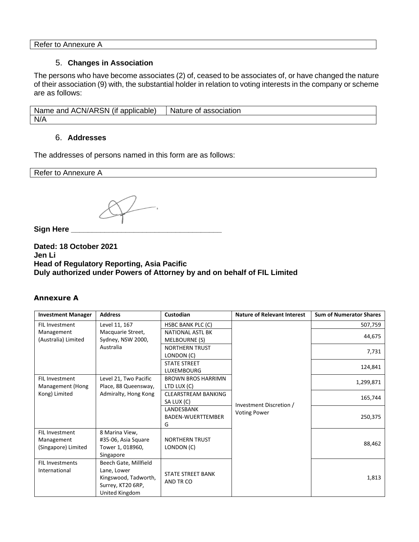Refer to Annexure A

### 5. **Changes in Association**

The persons who have become associates (2) of, ceased to be associates of, or have changed the nature of their association (9) with, the substantial holder in relation to voting interests in the company or scheme are as follows:

Name and ACN/ARSN (if applicable) | Nature of association N/A

#### 6. **Addresses**

The addresses of persons named in this form are as follows:

Refer to Annexure A

**Sign Here \_\_\_\_\_\_\_\_\_\_\_\_\_\_\_\_\_\_\_\_\_\_\_\_\_\_\_\_\_\_\_\_\_\_\_\_**

**Dated: 18 October 2021 Jen Li Head of Regulatory Reporting, Asia Pacific Duly authorized under Powers of Attorney by and on behalf of FIL Limited**

#### **Annexure A**

| <b>Investment Manager</b> | <b>Address</b>        | <b>Custodian</b>           | <b>Nature of Relevant Interest</b> | <b>Sum of Numerator Shares</b> |
|---------------------------|-----------------------|----------------------------|------------------------------------|--------------------------------|
| <b>FIL Investment</b>     | Level 11, 167         | <b>HSBC BANK PLC (C)</b>   |                                    | 507,759                        |
| Management                | Macquarie Street,     | <b>NATIONAL ASTL BK</b>    |                                    |                                |
| (Australia) Limited       | Sydney, NSW 2000,     | MELBOURNE (S)              |                                    | 44,675                         |
|                           | Australia             | <b>NORTHERN TRUST</b>      |                                    | 7,731                          |
|                           |                       | LONDON (C)                 |                                    |                                |
|                           |                       | <b>STATE STREET</b>        |                                    | 124,841                        |
|                           |                       | <b>LUXEMBOURG</b>          |                                    |                                |
| <b>FIL Investment</b>     | Level 21, Two Pacific | <b>BROWN BROS HARRIMN</b>  |                                    | 1,299,871                      |
| Management (Hong          | Place, 88 Queensway,  | LTD LUX (C)                |                                    |                                |
| Kong) Limited             | Admiralty, Hong Kong  | <b>CLEARSTREAM BANKING</b> |                                    | 165,744                        |
|                           |                       | SA LUX (C)                 | Investment Discretion /            |                                |
|                           |                       | LANDESBANK                 | <b>Voting Power</b>                |                                |
|                           |                       | <b>BADEN-WUERTTEMBER</b>   |                                    | 250,375                        |
|                           |                       | G                          |                                    |                                |
| <b>FIL Investment</b>     | 8 Marina View,        |                            |                                    |                                |
| Management                | #35-06, Asia Square   | <b>NORTHERN TRUST</b>      |                                    | 88,462                         |
| (Singapore) Limited       | Tower 1, 018960,      | LONDON (C)                 |                                    |                                |
|                           | Singapore             |                            |                                    |                                |
| <b>FIL Investments</b>    | Beech Gate, Millfield |                            |                                    |                                |
| International             | Lane, Lower           | <b>STATE STREET BANK</b>   |                                    |                                |
|                           | Kingswood, Tadworth,  | AND TR CO                  |                                    | 1,813                          |
|                           | Surrey, KT20 6RP,     |                            |                                    |                                |
|                           | United Kingdom        |                            |                                    |                                |